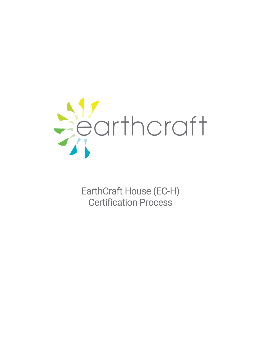

EarthCraft House (EC-H) Certification Process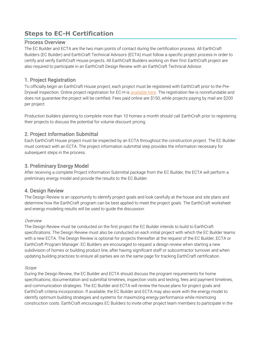# **Steps to EC-H Certification**

#### Process Overview

The EC Builder and ECTA are the two main points of contact during the certification process. All EarthCraft Builders (EC Builder) and EarthCraft Technical Advisors (ECTA) must follow a specific project process in order to certify and verify EarthCraft House projects. All EarthCraft Builders working on their first EarthCraft project are also required to participate in an EarthCraft Design Review with an EarthCraft Technical Advisor.

# 1. Project Registration

To officially begin an EarthCraft House project, each project must be registered with EarthCraft prior to the PreDrywall Inspection. Online project registration for EC-H i[s available here.](https://www.tfaforms.com/4601285) The registration fee is nonrefundable and does not guarantee the project will be certified. Fees paid online are \$150, while projects paying by mail are \$200 per project.

Production builders planning to complete more than 10 homes a month should call EarthCraft prior to registering their projects to discuss the potential for volume discount pricing.

# 2. Project Information Submittal

Each EarthCraft House project must be inspected by an ECTA throughout the construction project. The EC Builder must contract with an ECTA. The project information submittal step provides the information necessary for subsequent steps in the process.

# 3. Preliminary Energy Model

After receiving a complete Project Information Submittal package from the EC Builder, the ECTA will perform a preliminary energy model and provide the results to the EC Builder.

### 4. Design Review

The Design Review is an opportunity to identify project goals and look carefully at the house and site plans and determine how the EarthCraft program can be best applied to meet the project goals. The EarthCraft worksheet and energy modeling results will be used to guide the discussion.

#### Overview

The Design Review must be conducted on the first project the EC Builder intends to build to EarthCraft specifications. The Design Review must also be conducted on each initial project with which the EC Builder teams with a new ECTA. The Design Review is optional for projects thereafter at the request of the EC Builder, ECTA or EarthCraft Program Manager. EC Builders are encouraged to request a design review when starting a new subdivision of homes or building product line, after having significant staff or subcontractor turnover and when updating building practices to ensure all parties are on the same page for tracking EarthCraft certification.

#### Scope

During the Design Review, the EC Builder and ECTA should discuss the program requirements for home specifications, documentation and submittal timelines, inspection visits and testing, fees and payment timelines, and communication strategies. The EC Builder and ECTA will review the house plans for project goals and EarthCraft criteria incorporation. If available, the EC Builder and ECTA may also work with the energy model to identify optimum building strategies and systems for maximizing energy performance while minimizing construction costs. EarthCraft encourages EC Builders to invite other project team members to participate in the